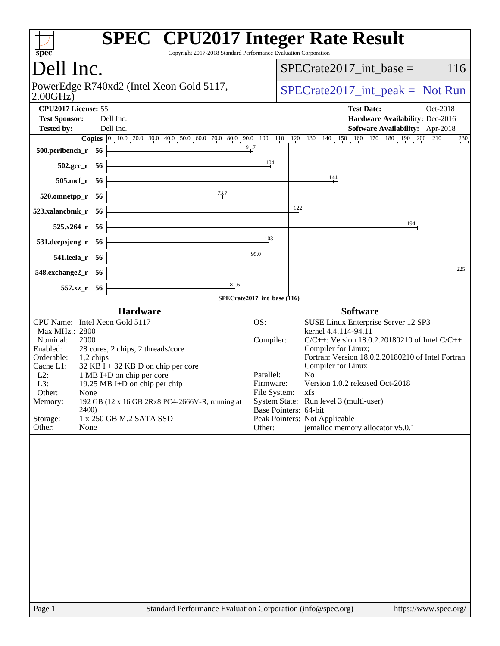| spec <sup>®</sup>                                                            | <b>SPEC<sup>®</sup></b> CPU2017 Integer Rate Result<br>Copyright 2017-2018 Standard Performance Evaluation Corporation                                                      |
|------------------------------------------------------------------------------|-----------------------------------------------------------------------------------------------------------------------------------------------------------------------------|
| Dell Inc.                                                                    | 116<br>$SPECrate2017\_int\_base =$                                                                                                                                          |
| PowerEdge R740xd2 (Intel Xeon Gold 5117,<br>2.00GHz                          | $SPECrate2017\_int\_peak = Not Run$                                                                                                                                         |
| CPU2017 License: 55                                                          | <b>Test Date:</b><br>Oct-2018                                                                                                                                               |
| <b>Test Sponsor:</b><br>Dell Inc.<br>Dell Inc.<br><b>Tested by:</b>          | Hardware Availability: Dec-2016<br>Software Availability: Apr-2018                                                                                                          |
|                                                                              | <b>Copies</b> $\begin{bmatrix} 0 & 10 & 0 & 20 & 0 & 30 & 40 & 50 & 60 & 70 & 80 & 90 & 10 & 11 & 12 & 13 & 14 & 15 & 16 & 170 & 180 & 190 & 200 & 210 & 230 \end{bmatrix}$ |
| 500.perlbench_r 56                                                           | 91.7                                                                                                                                                                        |
| $502.\text{gcc}_r$ 56                                                        | 104                                                                                                                                                                         |
| 505.mcf_r 56                                                                 | $\frac{144}{1}$                                                                                                                                                             |
| 73.7<br>520.omnetpp_r<br>- 56                                                |                                                                                                                                                                             |
| 523.xalancbmk_r 56                                                           | 122                                                                                                                                                                         |
| 525.x264 r 56                                                                | 194                                                                                                                                                                         |
| 531.deepsjeng_r 56                                                           | 103                                                                                                                                                                         |
| 541.leela r 56                                                               | 95,0                                                                                                                                                                        |
| 548.exchange2_r 56                                                           | 225                                                                                                                                                                         |
| 81.6<br>557.xz_r 56                                                          |                                                                                                                                                                             |
|                                                                              | SPECrate2017_int_base (116)                                                                                                                                                 |
| <b>Hardware</b><br>CPU Name: Intel Xeon Gold 5117                            | <b>Software</b><br>OS:<br>SUSE Linux Enterprise Server 12 SP3                                                                                                               |
| Max MHz.: 2800                                                               | kernel 4.4.114-94.11                                                                                                                                                        |
| Nominal:<br>2000<br>Enabled:<br>28 cores, 2 chips, 2 threads/core            | Compiler:<br>$C/C++$ : Version 18.0.2.20180210 of Intel $C/C++$<br>Compiler for Linux;                                                                                      |
| Orderable:<br>1,2 chips<br>Cache L1:<br>$32$ KB I + 32 KB D on chip per core | Fortran: Version 18.0.2.20180210 of Intel Fortran<br>Compiler for Linux                                                                                                     |
| $L2$ :<br>1 MB I+D on chip per core                                          | Parallel:<br>N <sub>0</sub>                                                                                                                                                 |
| L3:<br>19.25 MB I+D on chip per chip<br>Other:<br>None                       | Version 1.0.2 released Oct-2018<br>Firmware:<br>File System: xfs                                                                                                            |
| 192 GB (12 x 16 GB 2Rx8 PC4-2666V-R, running at<br>Memory:<br>2400)          | System State: Run level 3 (multi-user)<br>Base Pointers: 64-bit                                                                                                             |
| Storage:<br>1 x 250 GB M.2 SATA SSD                                          | Peak Pointers: Not Applicable                                                                                                                                               |
| Other:<br>None                                                               | jemalloc memory allocator v5.0.1<br>Other:                                                                                                                                  |
|                                                                              |                                                                                                                                                                             |
| Page 1                                                                       | Standard Performance Evaluation Corporation (info@spec.org)<br>https://www.spec.org/                                                                                        |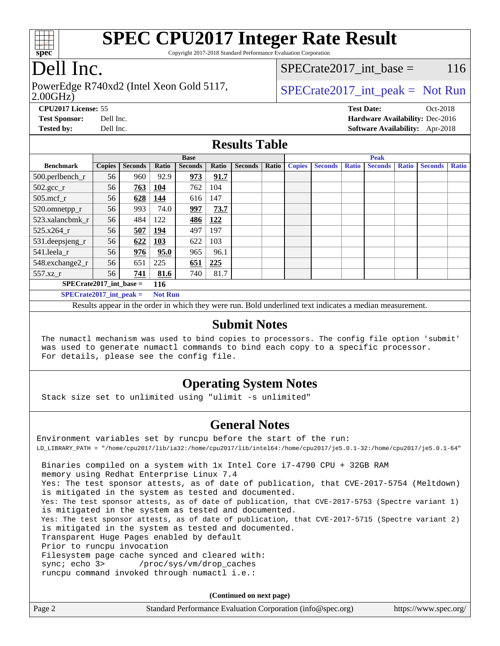

Copyright 2017-2018 Standard Performance Evaluation Corporation

### Dell Inc.

2.00GHz) PowerEdge R740xd2 (Intel Xeon Gold 5117,  $SPECTa te2017$  int peak = Not Run

SPECrate2017 int\_base =  $116$ 

**[CPU2017 License:](http://www.spec.org/auto/cpu2017/Docs/result-fields.html#CPU2017License)** 55 **[Test Date:](http://www.spec.org/auto/cpu2017/Docs/result-fields.html#TestDate)** Oct-2018 **[Test Sponsor:](http://www.spec.org/auto/cpu2017/Docs/result-fields.html#TestSponsor)** Dell Inc. **[Hardware Availability:](http://www.spec.org/auto/cpu2017/Docs/result-fields.html#HardwareAvailability)** Dec-2016 **[Tested by:](http://www.spec.org/auto/cpu2017/Docs/result-fields.html#Testedby)** Dell Inc. **[Software Availability:](http://www.spec.org/auto/cpu2017/Docs/result-fields.html#SoftwareAvailability)** Apr-2018

#### **[Results Table](http://www.spec.org/auto/cpu2017/Docs/result-fields.html#ResultsTable)**

|                                  | <b>Base</b>   |                |                |                | <b>Peak</b> |                |       |               |                |              |                |              |                |              |
|----------------------------------|---------------|----------------|----------------|----------------|-------------|----------------|-------|---------------|----------------|--------------|----------------|--------------|----------------|--------------|
| <b>Benchmark</b>                 | <b>Copies</b> | <b>Seconds</b> | Ratio          | <b>Seconds</b> | Ratio       | <b>Seconds</b> | Ratio | <b>Copies</b> | <b>Seconds</b> | <b>Ratio</b> | <b>Seconds</b> | <b>Ratio</b> | <b>Seconds</b> | <b>Ratio</b> |
| 500.perlbench_r                  | 56            | 960            | 92.9           | 973            | 91.7        |                |       |               |                |              |                |              |                |              |
| $502.\text{gcc}$ <sub>r</sub>    | 56            | 763            | 104            | 762            | 104         |                |       |               |                |              |                |              |                |              |
| $505$ .mcf r                     | 56            | 628            | 144            | 616            | 147         |                |       |               |                |              |                |              |                |              |
| 520.omnetpp_r                    | 56            | 993            | 74.0           | 997            | 73.7        |                |       |               |                |              |                |              |                |              |
| 523.xalancbmk_r                  | 56            | 484            | 122            | 486            | 122         |                |       |               |                |              |                |              |                |              |
| 525.x264 r                       | 56            | 507            | 194            | 497            | 197         |                |       |               |                |              |                |              |                |              |
| 531.deepsjeng_r                  | 56            | 622            | <b>103</b>     | 622            | 103         |                |       |               |                |              |                |              |                |              |
| 541.leela_r                      | 56            | 976            | 95.0           | 965            | 96.1        |                |       |               |                |              |                |              |                |              |
| 548.exchange2_r                  | 56            | 651            | 225            | 651            | 225         |                |       |               |                |              |                |              |                |              |
| 557.xz r                         | 56            | 741            | 81.6           | 740            | 81.7        |                |       |               |                |              |                |              |                |              |
| $SPECrate2017$ int base =<br>116 |               |                |                |                |             |                |       |               |                |              |                |              |                |              |
| $SPECrate2017\_int\_peak =$      |               |                | <b>Not Run</b> |                |             |                |       |               |                |              |                |              |                |              |

Results appear in the [order in which they were run](http://www.spec.org/auto/cpu2017/Docs/result-fields.html#RunOrder). Bold underlined text [indicates a median measurement.](http://www.spec.org/auto/cpu2017/Docs/result-fields.html#Median)

#### **[Submit Notes](http://www.spec.org/auto/cpu2017/Docs/result-fields.html#SubmitNotes)**

 The numactl mechanism was used to bind copies to processors. The config file option 'submit' was used to generate numactl commands to bind each copy to a specific processor. For details, please see the config file.

#### **[Operating System Notes](http://www.spec.org/auto/cpu2017/Docs/result-fields.html#OperatingSystemNotes)**

Stack size set to unlimited using "ulimit -s unlimited"

#### **[General Notes](http://www.spec.org/auto/cpu2017/Docs/result-fields.html#GeneralNotes)**

Environment variables set by runcpu before the start of the run: LD\_LIBRARY\_PATH = "/home/cpu2017/lib/ia32:/home/cpu2017/lib/intel64:/home/cpu2017/je5.0.1-32:/home/cpu2017/je5.0.1-64" Binaries compiled on a system with 1x Intel Core i7-4790 CPU + 32GB RAM memory using Redhat Enterprise Linux 7.4 Yes: The test sponsor attests, as of date of publication, that CVE-2017-5754 (Meltdown) is mitigated in the system as tested and documented. Yes: The test sponsor attests, as of date of publication, that CVE-2017-5753 (Spectre variant 1) is mitigated in the system as tested and documented. Yes: The test sponsor attests, as of date of publication, that CVE-2017-5715 (Spectre variant 2) is mitigated in the system as tested and documented. Transparent Huge Pages enabled by default Prior to runcpu invocation Filesystem page cache synced and cleared with: sync; echo 3> /proc/sys/vm/drop\_caches runcpu command invoked through numactl i.e.:

**(Continued on next page)**

| Page 2<br>Standard Performance Evaluation Corporation (info@spec.org)<br>https://www.spec.org/ |
|------------------------------------------------------------------------------------------------|
|------------------------------------------------------------------------------------------------|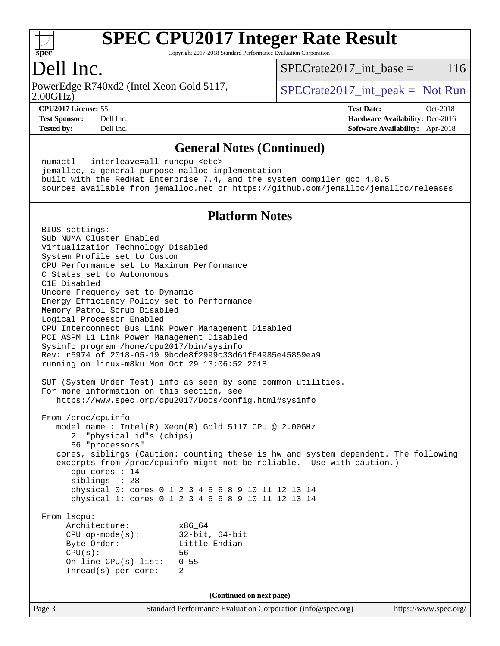

Copyright 2017-2018 Standard Performance Evaluation Corporation

### Dell Inc.

2.00GHz) PowerEdge R740xd2 (Intel Xeon Gold 5117,  $SPECTa te2017$  int peak = Not Run

 $SPECTate2017\_int\_base = 116$ 

**[CPU2017 License:](http://www.spec.org/auto/cpu2017/Docs/result-fields.html#CPU2017License)** 55 **[Test Date:](http://www.spec.org/auto/cpu2017/Docs/result-fields.html#TestDate)** Oct-2018 **[Test Sponsor:](http://www.spec.org/auto/cpu2017/Docs/result-fields.html#TestSponsor)** Dell Inc. **[Hardware Availability:](http://www.spec.org/auto/cpu2017/Docs/result-fields.html#HardwareAvailability)** Dec-2016 **[Tested by:](http://www.spec.org/auto/cpu2017/Docs/result-fields.html#Testedby)** Dell Inc. **[Software Availability:](http://www.spec.org/auto/cpu2017/Docs/result-fields.html#SoftwareAvailability)** Apr-2018

#### **[General Notes \(Continued\)](http://www.spec.org/auto/cpu2017/Docs/result-fields.html#GeneralNotes)**

 numactl --interleave=all runcpu <etc> jemalloc, a general purpose malloc implementation built with the RedHat Enterprise 7.4, and the system compiler gcc 4.8.5 sources available from jemalloc.net or <https://github.com/jemalloc/jemalloc/releases>

#### **[Platform Notes](http://www.spec.org/auto/cpu2017/Docs/result-fields.html#PlatformNotes)**

Page 3 Standard Performance Evaluation Corporation [\(info@spec.org\)](mailto:info@spec.org) <https://www.spec.org/> BIOS settings: Sub NUMA Cluster Enabled Virtualization Technology Disabled System Profile set to Custom CPU Performance set to Maximum Performance C States set to Autonomous C1E Disabled Uncore Frequency set to Dynamic Energy Efficiency Policy set to Performance Memory Patrol Scrub Disabled Logical Processor Enabled CPU Interconnect Bus Link Power Management Disabled PCI ASPM L1 Link Power Management Disabled Sysinfo program /home/cpu2017/bin/sysinfo Rev: r5974 of 2018-05-19 9bcde8f2999c33d61f64985e45859ea9 running on linux-m8ku Mon Oct 29 13:06:52 2018 SUT (System Under Test) info as seen by some common utilities. For more information on this section, see <https://www.spec.org/cpu2017/Docs/config.html#sysinfo> From /proc/cpuinfo model name : Intel(R) Xeon(R) Gold 5117 CPU @ 2.00GHz 2 "physical id"s (chips) 56 "processors" cores, siblings (Caution: counting these is hw and system dependent. The following excerpts from /proc/cpuinfo might not be reliable. Use with caution.) cpu cores : 14 siblings : 28 physical 0: cores 0 1 2 3 4 5 6 8 9 10 11 12 13 14 physical 1: cores 0 1 2 3 4 5 6 8 9 10 11 12 13 14 From lscpu: Architecture: x86\_64 CPU op-mode(s): 32-bit, 64-bit Byte Order: Little Endian CPU(s): 56 On-line CPU(s) list: 0-55 Thread(s) per core: 2 **(Continued on next page)**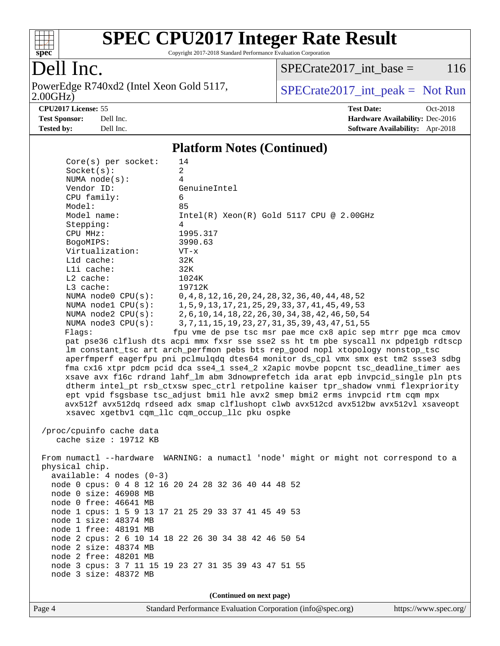

Copyright 2017-2018 Standard Performance Evaluation Corporation

### Dell Inc.

2.00GHz) PowerEdge R740xd2 (Intel Xeon Gold 5117,  $SPECrate2017\_int\_peak = Not Run$ 

 $SPECTate2017\_int\_base = 116$ 

**[CPU2017 License:](http://www.spec.org/auto/cpu2017/Docs/result-fields.html#CPU2017License)** 55 **[Test Date:](http://www.spec.org/auto/cpu2017/Docs/result-fields.html#TestDate)** Oct-2018 **[Test Sponsor:](http://www.spec.org/auto/cpu2017/Docs/result-fields.html#TestSponsor)** Dell Inc. **[Hardware Availability:](http://www.spec.org/auto/cpu2017/Docs/result-fields.html#HardwareAvailability)** Dec-2016 **[Tested by:](http://www.spec.org/auto/cpu2017/Docs/result-fields.html#Testedby)** Dell Inc. **[Software Availability:](http://www.spec.org/auto/cpu2017/Docs/result-fields.html#SoftwareAvailability)** Apr-2018

#### **[Platform Notes \(Continued\)](http://www.spec.org/auto/cpu2017/Docs/result-fields.html#PlatformNotes)**

| Core(s) per socket:        | 14                                                                                   |  |  |  |  |
|----------------------------|--------------------------------------------------------------------------------------|--|--|--|--|
| Socket(s):                 | $\overline{a}$                                                                       |  |  |  |  |
| NUMA node(s):              | 4                                                                                    |  |  |  |  |
| Vendor ID:                 | GenuineIntel                                                                         |  |  |  |  |
| CPU family:                | 6                                                                                    |  |  |  |  |
| Model:                     | 85                                                                                   |  |  |  |  |
| Model name:                | $Intel(R) Xeon(R) Gold 5117 CPU @ 2.00GHz$                                           |  |  |  |  |
| Stepping:                  | 4                                                                                    |  |  |  |  |
| CPU MHz:                   | 1995.317                                                                             |  |  |  |  |
| BogoMIPS:                  | 3990.63                                                                              |  |  |  |  |
| Virtualization:            | $VT - x$                                                                             |  |  |  |  |
| Lld cache:                 | 32K                                                                                  |  |  |  |  |
| Lli cache:                 | 32K                                                                                  |  |  |  |  |
| $L2$ cache:                | 1024K                                                                                |  |  |  |  |
| L3 cache:                  | 19712K                                                                               |  |  |  |  |
| NUMA node0 CPU(s):         | 0, 4, 8, 12, 16, 20, 24, 28, 32, 36, 40, 44, 48, 52                                  |  |  |  |  |
| NUMA nodel $CPU(s):$       | 1, 5, 9, 13, 17, 21, 25, 29, 33, 37, 41, 45, 49, 53                                  |  |  |  |  |
| NUMA $node2$ $CPU(s):$     | 2, 6, 10, 14, 18, 22, 26, 30, 34, 38, 42, 46, 50, 54                                 |  |  |  |  |
| NUMA node3 CPU(s):         | 3, 7, 11, 15, 19, 23, 27, 31, 35, 39, 43, 47, 51, 55                                 |  |  |  |  |
| Flags:                     | fpu vme de pse tsc msr pae mce cx8 apic sep mtrr pge mca cmov                        |  |  |  |  |
|                            | pat pse36 clflush dts acpi mmx fxsr sse sse2 ss ht tm pbe syscall nx pdpelgb rdtscp  |  |  |  |  |
|                            | lm constant_tsc art arch_perfmon pebs bts rep_good nopl xtopology nonstop_tsc        |  |  |  |  |
|                            | aperfmperf eagerfpu pni pclmulqdq dtes64 monitor ds_cpl vmx smx est tm2 ssse3 sdbg   |  |  |  |  |
|                            | fma cx16 xtpr pdcm pcid dca sse4_1 sse4_2 x2apic movbe popcnt tsc_deadline_timer aes |  |  |  |  |
|                            | xsave avx f16c rdrand lahf_lm abm 3dnowprefetch ida arat epb invpcid_single pln pts  |  |  |  |  |
|                            | dtherm intel_pt rsb_ctxsw spec_ctrl retpoline kaiser tpr_shadow vnmi flexpriority    |  |  |  |  |
|                            | ept vpid fsgsbase tsc_adjust bmil hle avx2 smep bmi2 erms invpcid rtm cqm mpx        |  |  |  |  |
|                            | avx512f avx512dq rdseed adx smap clflushopt clwb avx512cd avx512bw avx512vl xsaveopt |  |  |  |  |
|                            | xsavec xgetbv1 cqm_llc cqm_occup_llc pku ospke                                       |  |  |  |  |
| /proc/cpuinfo cache data   |                                                                                      |  |  |  |  |
| cache size : 19712 KB      |                                                                                      |  |  |  |  |
|                            |                                                                                      |  |  |  |  |
|                            | From numactl --hardware WARNING: a numactl 'node' might or might not correspond to a |  |  |  |  |
| physical chip.             |                                                                                      |  |  |  |  |
| $available: 4 nodes (0-3)$ |                                                                                      |  |  |  |  |
|                            | node 0 cpus: 0 4 8 12 16 20 24 28 32 36 40 44 48 52                                  |  |  |  |  |
| node 0 size: 46908 MB      |                                                                                      |  |  |  |  |
| node 0 free: 46641 MB      |                                                                                      |  |  |  |  |
|                            | node 1 cpus: 1 5 9 13 17 21 25 29 33 37 41 45 49 53                                  |  |  |  |  |
| node 1 size: 48374 MB      |                                                                                      |  |  |  |  |
| node 1 free: 48191 MB      |                                                                                      |  |  |  |  |
|                            | node 2 cpus: 2 6 10 14 18 22 26 30 34 38 42 46 50 54                                 |  |  |  |  |
| node 2 size: 48374 MB      |                                                                                      |  |  |  |  |
| node 2 free: 48201 MB      |                                                                                      |  |  |  |  |
|                            | node 3 cpus: 3 7 11 15 19 23 27 31 35 39 43 47 51 55                                 |  |  |  |  |
| node 3 size: 48372 MB      |                                                                                      |  |  |  |  |
|                            |                                                                                      |  |  |  |  |
| (Continued on next page)   |                                                                                      |  |  |  |  |

Page 4 Standard Performance Evaluation Corporation [\(info@spec.org\)](mailto:info@spec.org) <https://www.spec.org/>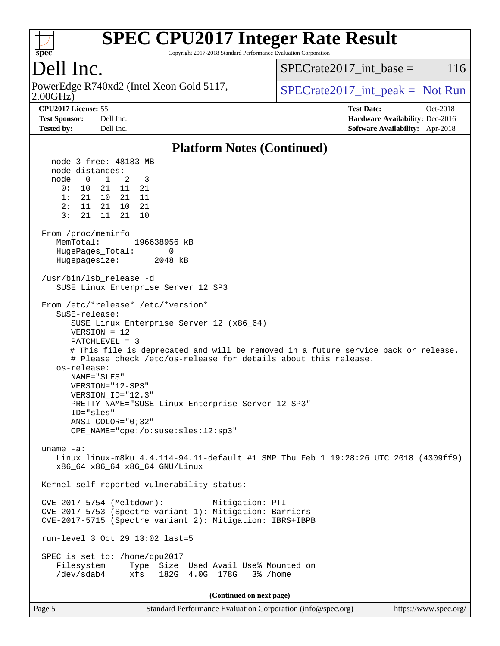

Copyright 2017-2018 Standard Performance Evaluation Corporation

### Dell Inc.

2.00GHz) PowerEdge R740xd2 (Intel Xeon Gold 5117,  $SPECrate2017\_int\_peak = Not Run$ 

SPECrate2017 int\_base =  $116$ 

**[CPU2017 License:](http://www.spec.org/auto/cpu2017/Docs/result-fields.html#CPU2017License)** 55 **[Test Date:](http://www.spec.org/auto/cpu2017/Docs/result-fields.html#TestDate)** Oct-2018 **[Test Sponsor:](http://www.spec.org/auto/cpu2017/Docs/result-fields.html#TestSponsor)** Dell Inc. **[Hardware Availability:](http://www.spec.org/auto/cpu2017/Docs/result-fields.html#HardwareAvailability)** Dec-2016

### **[Platform Notes \(Continued\)](http://www.spec.org/auto/cpu2017/Docs/result-fields.html#PlatformNotes)**

**[Tested by:](http://www.spec.org/auto/cpu2017/Docs/result-fields.html#Testedby)** Dell Inc. **[Software Availability:](http://www.spec.org/auto/cpu2017/Docs/result-fields.html#SoftwareAvailability)** Apr-2018

 node 3 free: 48183 MB node distances: node 0 1 2 3 0: 10 21 11 21 1: 21 10 21 11 2: 11 21 10 21 3: 21 11 21 10 From /proc/meminfo MemTotal: 196638956 kB HugePages\_Total: 0 Hugepagesize: 2048 kB /usr/bin/lsb\_release -d SUSE Linux Enterprise Server 12 SP3 From /etc/\*release\* /etc/\*version\* SuSE-release: SUSE Linux Enterprise Server 12 (x86\_64) VERSION = 12 PATCHLEVEL = 3 # This file is deprecated and will be removed in a future service pack or release. # Please check /etc/os-release for details about this release. os-release: NAME="SLES" VERSION="12-SP3" VERSION\_ID="12.3" PRETTY\_NAME="SUSE Linux Enterprise Server 12 SP3" ID="sles" ANSI\_COLOR="0;32" CPE\_NAME="cpe:/o:suse:sles:12:sp3" uname -a: Linux linux-m8ku 4.4.114-94.11-default #1 SMP Thu Feb 1 19:28:26 UTC 2018 (4309ff9) x86\_64 x86\_64 x86\_64 GNU/Linux Kernel self-reported vulnerability status: CVE-2017-5754 (Meltdown): Mitigation: PTI CVE-2017-5753 (Spectre variant 1): Mitigation: Barriers CVE-2017-5715 (Spectre variant 2): Mitigation: IBRS+IBPB run-level 3 Oct 29 13:02 last=5 SPEC is set to: /home/cpu2017 Filesystem Type Size Used Avail Use% Mounted on /dev/sdab4 xfs 182G 4.0G 178G 3% /home **(Continued on next page)**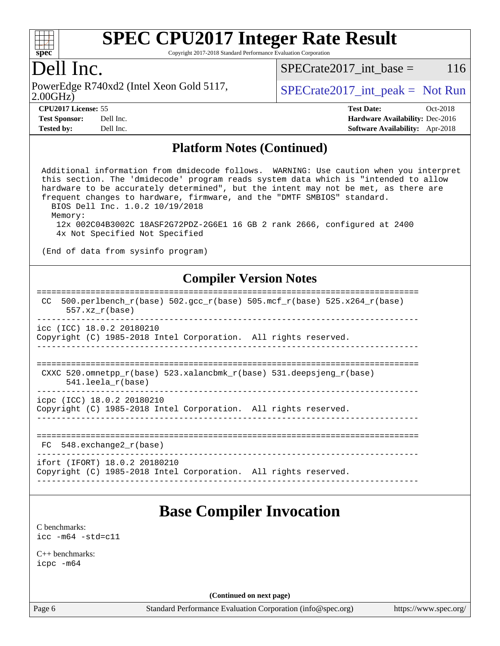

Copyright 2017-2018 Standard Performance Evaluation Corporation

### Dell Inc.

PowerEdge R740xd2 (Intel Xeon Gold 5117,  $SPECrate2017\_int\_peak = Not Run$ 

 $SPECTate2017\_int\_base = 116$ 

2.00GHz)

| <b>CPU2017 License: 55</b> |                         |
|----------------------------|-------------------------|
| Took Composed              | $\mathbf{D}_{\alpha}$ 1 |

**[Tested by:](http://www.spec.org/auto/cpu2017/Docs/result-fields.html#Testedby)** Dell Inc. **[Software Availability:](http://www.spec.org/auto/cpu2017/Docs/result-fields.html#SoftwareAvailability)** Apr-2018

**[CPU2017 License:](http://www.spec.org/auto/cpu2017/Docs/result-fields.html#CPU2017License)** 55 **[Test Date:](http://www.spec.org/auto/cpu2017/Docs/result-fields.html#TestDate)** Oct-2018 **[Test Sponsor:](http://www.spec.org/auto/cpu2017/Docs/result-fields.html#TestSponsor)** Dell Inc. **[Hardware Availability:](http://www.spec.org/auto/cpu2017/Docs/result-fields.html#HardwareAvailability)** Dec-2016

#### **[Platform Notes \(Continued\)](http://www.spec.org/auto/cpu2017/Docs/result-fields.html#PlatformNotes)**

 Additional information from dmidecode follows. WARNING: Use caution when you interpret this section. The 'dmidecode' program reads system data which is "intended to allow hardware to be accurately determined", but the intent may not be met, as there are frequent changes to hardware, firmware, and the "DMTF SMBIOS" standard. BIOS Dell Inc. 1.0.2 10/19/2018 Memory: 12x 002C04B3002C 18ASF2G72PDZ-2G6E1 16 GB 2 rank 2666, configured at 2400 4x Not Specified Not Specified

(End of data from sysinfo program)

#### **[Compiler Version Notes](http://www.spec.org/auto/cpu2017/Docs/result-fields.html#CompilerVersionNotes)**

#### ============================================================================== CC 500.perlbench  $r(base)$  502.gcc  $r(base)$  505.mcf  $r(base)$  525.x264  $r(base)$  557.xz\_r(base) ----------------------------------------------------------------------------- icc (ICC) 18.0.2 20180210 Copyright (C) 1985-2018 Intel Corporation. All rights reserved. ------------------------------------------------------------------------------

```
==============================================================================
CXXC 520.omnetpp_r(base) 523.xalancbmk_r(base) 531.deepsjeng_r(base)
      541.leela_r(base)
```
----------------------------------------------------------------------------- icpc (ICC) 18.0.2 20180210

Copyright (C) 1985-2018 Intel Corporation. All rights reserved.

------------------------------------------------------------------------------

```
==============================================================================
```
------------------------------------------------------------------------------

FC 548.exchange2\_r(base)

ifort (IFORT) 18.0.2 20180210 Copyright (C) 1985-2018 Intel Corporation. All rights reserved. ------------------------------------------------------------------------------

### **[Base Compiler Invocation](http://www.spec.org/auto/cpu2017/Docs/result-fields.html#BaseCompilerInvocation)**

[C benchmarks](http://www.spec.org/auto/cpu2017/Docs/result-fields.html#Cbenchmarks): [icc -m64 -std=c11](http://www.spec.org/cpu2017/results/res2018q4/cpu2017-20181112-09543.flags.html#user_CCbase_intel_icc_64bit_c11_33ee0cdaae7deeeab2a9725423ba97205ce30f63b9926c2519791662299b76a0318f32ddfffdc46587804de3178b4f9328c46fa7c2b0cd779d7a61945c91cd35)

[C++ benchmarks:](http://www.spec.org/auto/cpu2017/Docs/result-fields.html#CXXbenchmarks) [icpc -m64](http://www.spec.org/cpu2017/results/res2018q4/cpu2017-20181112-09543.flags.html#user_CXXbase_intel_icpc_64bit_4ecb2543ae3f1412ef961e0650ca070fec7b7afdcd6ed48761b84423119d1bf6bdf5cad15b44d48e7256388bc77273b966e5eb805aefd121eb22e9299b2ec9d9)

**(Continued on next page)**

Page 6 Standard Performance Evaluation Corporation [\(info@spec.org\)](mailto:info@spec.org) <https://www.spec.org/>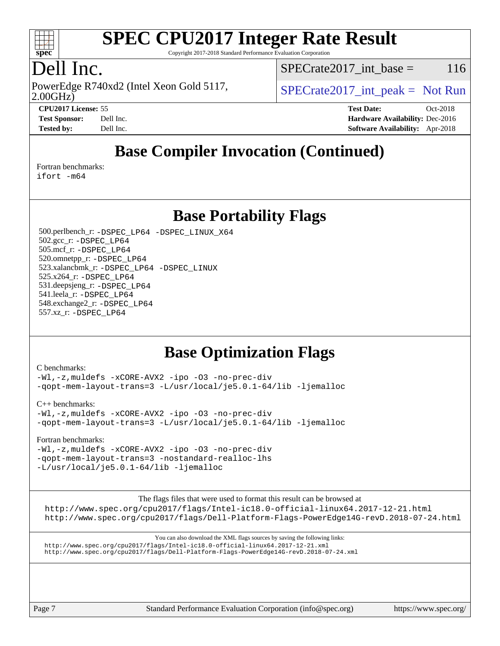

Copyright 2017-2018 Standard Performance Evaluation Corporation

### Dell Inc.

2.00GHz) PowerEdge R740xd2 (Intel Xeon Gold 5117,  $SPECTa te2017$  int peak = Not Run

 $SPECTate2017\_int\_base = 116$ 

**[CPU2017 License:](http://www.spec.org/auto/cpu2017/Docs/result-fields.html#CPU2017License)** 55 **[Test Date:](http://www.spec.org/auto/cpu2017/Docs/result-fields.html#TestDate)** Oct-2018

**[Test Sponsor:](http://www.spec.org/auto/cpu2017/Docs/result-fields.html#TestSponsor)** Dell Inc. **[Hardware Availability:](http://www.spec.org/auto/cpu2017/Docs/result-fields.html#HardwareAvailability)** Dec-2016 **[Tested by:](http://www.spec.org/auto/cpu2017/Docs/result-fields.html#Testedby)** Dell Inc. **[Software Availability:](http://www.spec.org/auto/cpu2017/Docs/result-fields.html#SoftwareAvailability)** Apr-2018

### **[Base Compiler Invocation \(Continued\)](http://www.spec.org/auto/cpu2017/Docs/result-fields.html#BaseCompilerInvocation)**

[Fortran benchmarks](http://www.spec.org/auto/cpu2017/Docs/result-fields.html#Fortranbenchmarks):

[ifort -m64](http://www.spec.org/cpu2017/results/res2018q4/cpu2017-20181112-09543.flags.html#user_FCbase_intel_ifort_64bit_24f2bb282fbaeffd6157abe4f878425411749daecae9a33200eee2bee2fe76f3b89351d69a8130dd5949958ce389cf37ff59a95e7a40d588e8d3a57e0c3fd751)

**[Base Portability Flags](http://www.spec.org/auto/cpu2017/Docs/result-fields.html#BasePortabilityFlags)**

 500.perlbench\_r: [-DSPEC\\_LP64](http://www.spec.org/cpu2017/results/res2018q4/cpu2017-20181112-09543.flags.html#b500.perlbench_r_basePORTABILITY_DSPEC_LP64) [-DSPEC\\_LINUX\\_X64](http://www.spec.org/cpu2017/results/res2018q4/cpu2017-20181112-09543.flags.html#b500.perlbench_r_baseCPORTABILITY_DSPEC_LINUX_X64) 502.gcc\_r: [-DSPEC\\_LP64](http://www.spec.org/cpu2017/results/res2018q4/cpu2017-20181112-09543.flags.html#suite_basePORTABILITY502_gcc_r_DSPEC_LP64) 505.mcf\_r: [-DSPEC\\_LP64](http://www.spec.org/cpu2017/results/res2018q4/cpu2017-20181112-09543.flags.html#suite_basePORTABILITY505_mcf_r_DSPEC_LP64) 520.omnetpp\_r: [-DSPEC\\_LP64](http://www.spec.org/cpu2017/results/res2018q4/cpu2017-20181112-09543.flags.html#suite_basePORTABILITY520_omnetpp_r_DSPEC_LP64) 523.xalancbmk\_r: [-DSPEC\\_LP64](http://www.spec.org/cpu2017/results/res2018q4/cpu2017-20181112-09543.flags.html#suite_basePORTABILITY523_xalancbmk_r_DSPEC_LP64) [-DSPEC\\_LINUX](http://www.spec.org/cpu2017/results/res2018q4/cpu2017-20181112-09543.flags.html#b523.xalancbmk_r_baseCXXPORTABILITY_DSPEC_LINUX) 525.x264\_r: [-DSPEC\\_LP64](http://www.spec.org/cpu2017/results/res2018q4/cpu2017-20181112-09543.flags.html#suite_basePORTABILITY525_x264_r_DSPEC_LP64) 531.deepsjeng\_r: [-DSPEC\\_LP64](http://www.spec.org/cpu2017/results/res2018q4/cpu2017-20181112-09543.flags.html#suite_basePORTABILITY531_deepsjeng_r_DSPEC_LP64) 541.leela\_r: [-DSPEC\\_LP64](http://www.spec.org/cpu2017/results/res2018q4/cpu2017-20181112-09543.flags.html#suite_basePORTABILITY541_leela_r_DSPEC_LP64) 548.exchange2\_r: [-DSPEC\\_LP64](http://www.spec.org/cpu2017/results/res2018q4/cpu2017-20181112-09543.flags.html#suite_basePORTABILITY548_exchange2_r_DSPEC_LP64) 557.xz\_r: [-DSPEC\\_LP64](http://www.spec.org/cpu2017/results/res2018q4/cpu2017-20181112-09543.flags.html#suite_basePORTABILITY557_xz_r_DSPEC_LP64)

### **[Base Optimization Flags](http://www.spec.org/auto/cpu2017/Docs/result-fields.html#BaseOptimizationFlags)**

[C benchmarks](http://www.spec.org/auto/cpu2017/Docs/result-fields.html#Cbenchmarks):

[-Wl,-z,muldefs](http://www.spec.org/cpu2017/results/res2018q4/cpu2017-20181112-09543.flags.html#user_CCbase_link_force_multiple1_b4cbdb97b34bdee9ceefcfe54f4c8ea74255f0b02a4b23e853cdb0e18eb4525ac79b5a88067c842dd0ee6996c24547a27a4b99331201badda8798ef8a743f577) [-xCORE-AVX2](http://www.spec.org/cpu2017/results/res2018q4/cpu2017-20181112-09543.flags.html#user_CCbase_f-xCORE-AVX2) [-ipo](http://www.spec.org/cpu2017/results/res2018q4/cpu2017-20181112-09543.flags.html#user_CCbase_f-ipo) [-O3](http://www.spec.org/cpu2017/results/res2018q4/cpu2017-20181112-09543.flags.html#user_CCbase_f-O3) [-no-prec-div](http://www.spec.org/cpu2017/results/res2018q4/cpu2017-20181112-09543.flags.html#user_CCbase_f-no-prec-div) [-qopt-mem-layout-trans=3](http://www.spec.org/cpu2017/results/res2018q4/cpu2017-20181112-09543.flags.html#user_CCbase_f-qopt-mem-layout-trans_de80db37974c74b1f0e20d883f0b675c88c3b01e9d123adea9b28688d64333345fb62bc4a798493513fdb68f60282f9a726aa07f478b2f7113531aecce732043) [-L/usr/local/je5.0.1-64/lib](http://www.spec.org/cpu2017/results/res2018q4/cpu2017-20181112-09543.flags.html#user_CCbase_jemalloc_link_path64_4b10a636b7bce113509b17f3bd0d6226c5fb2346b9178c2d0232c14f04ab830f976640479e5c33dc2bcbbdad86ecfb6634cbbd4418746f06f368b512fced5394) [-ljemalloc](http://www.spec.org/cpu2017/results/res2018q4/cpu2017-20181112-09543.flags.html#user_CCbase_jemalloc_link_lib_d1249b907c500fa1c0672f44f562e3d0f79738ae9e3c4a9c376d49f265a04b9c99b167ecedbf6711b3085be911c67ff61f150a17b3472be731631ba4d0471706)

[C++ benchmarks:](http://www.spec.org/auto/cpu2017/Docs/result-fields.html#CXXbenchmarks)

[-Wl,-z,muldefs](http://www.spec.org/cpu2017/results/res2018q4/cpu2017-20181112-09543.flags.html#user_CXXbase_link_force_multiple1_b4cbdb97b34bdee9ceefcfe54f4c8ea74255f0b02a4b23e853cdb0e18eb4525ac79b5a88067c842dd0ee6996c24547a27a4b99331201badda8798ef8a743f577) [-xCORE-AVX2](http://www.spec.org/cpu2017/results/res2018q4/cpu2017-20181112-09543.flags.html#user_CXXbase_f-xCORE-AVX2) [-ipo](http://www.spec.org/cpu2017/results/res2018q4/cpu2017-20181112-09543.flags.html#user_CXXbase_f-ipo) [-O3](http://www.spec.org/cpu2017/results/res2018q4/cpu2017-20181112-09543.flags.html#user_CXXbase_f-O3) [-no-prec-div](http://www.spec.org/cpu2017/results/res2018q4/cpu2017-20181112-09543.flags.html#user_CXXbase_f-no-prec-div) [-qopt-mem-layout-trans=3](http://www.spec.org/cpu2017/results/res2018q4/cpu2017-20181112-09543.flags.html#user_CXXbase_f-qopt-mem-layout-trans_de80db37974c74b1f0e20d883f0b675c88c3b01e9d123adea9b28688d64333345fb62bc4a798493513fdb68f60282f9a726aa07f478b2f7113531aecce732043) [-L/usr/local/je5.0.1-64/lib](http://www.spec.org/cpu2017/results/res2018q4/cpu2017-20181112-09543.flags.html#user_CXXbase_jemalloc_link_path64_4b10a636b7bce113509b17f3bd0d6226c5fb2346b9178c2d0232c14f04ab830f976640479e5c33dc2bcbbdad86ecfb6634cbbd4418746f06f368b512fced5394) [-ljemalloc](http://www.spec.org/cpu2017/results/res2018q4/cpu2017-20181112-09543.flags.html#user_CXXbase_jemalloc_link_lib_d1249b907c500fa1c0672f44f562e3d0f79738ae9e3c4a9c376d49f265a04b9c99b167ecedbf6711b3085be911c67ff61f150a17b3472be731631ba4d0471706)

[Fortran benchmarks](http://www.spec.org/auto/cpu2017/Docs/result-fields.html#Fortranbenchmarks):

[-Wl,-z,muldefs](http://www.spec.org/cpu2017/results/res2018q4/cpu2017-20181112-09543.flags.html#user_FCbase_link_force_multiple1_b4cbdb97b34bdee9ceefcfe54f4c8ea74255f0b02a4b23e853cdb0e18eb4525ac79b5a88067c842dd0ee6996c24547a27a4b99331201badda8798ef8a743f577) [-xCORE-AVX2](http://www.spec.org/cpu2017/results/res2018q4/cpu2017-20181112-09543.flags.html#user_FCbase_f-xCORE-AVX2) [-ipo](http://www.spec.org/cpu2017/results/res2018q4/cpu2017-20181112-09543.flags.html#user_FCbase_f-ipo) [-O3](http://www.spec.org/cpu2017/results/res2018q4/cpu2017-20181112-09543.flags.html#user_FCbase_f-O3) [-no-prec-div](http://www.spec.org/cpu2017/results/res2018q4/cpu2017-20181112-09543.flags.html#user_FCbase_f-no-prec-div) [-qopt-mem-layout-trans=3](http://www.spec.org/cpu2017/results/res2018q4/cpu2017-20181112-09543.flags.html#user_FCbase_f-qopt-mem-layout-trans_de80db37974c74b1f0e20d883f0b675c88c3b01e9d123adea9b28688d64333345fb62bc4a798493513fdb68f60282f9a726aa07f478b2f7113531aecce732043) [-nostandard-realloc-lhs](http://www.spec.org/cpu2017/results/res2018q4/cpu2017-20181112-09543.flags.html#user_FCbase_f_2003_std_realloc_82b4557e90729c0f113870c07e44d33d6f5a304b4f63d4c15d2d0f1fab99f5daaed73bdb9275d9ae411527f28b936061aa8b9c8f2d63842963b95c9dd6426b8a) [-L/usr/local/je5.0.1-64/lib](http://www.spec.org/cpu2017/results/res2018q4/cpu2017-20181112-09543.flags.html#user_FCbase_jemalloc_link_path64_4b10a636b7bce113509b17f3bd0d6226c5fb2346b9178c2d0232c14f04ab830f976640479e5c33dc2bcbbdad86ecfb6634cbbd4418746f06f368b512fced5394) [-ljemalloc](http://www.spec.org/cpu2017/results/res2018q4/cpu2017-20181112-09543.flags.html#user_FCbase_jemalloc_link_lib_d1249b907c500fa1c0672f44f562e3d0f79738ae9e3c4a9c376d49f265a04b9c99b167ecedbf6711b3085be911c67ff61f150a17b3472be731631ba4d0471706)

The flags files that were used to format this result can be browsed at

<http://www.spec.org/cpu2017/flags/Intel-ic18.0-official-linux64.2017-12-21.html> <http://www.spec.org/cpu2017/flags/Dell-Platform-Flags-PowerEdge14G-revD.2018-07-24.html>

You can also download the XML flags sources by saving the following links: <http://www.spec.org/cpu2017/flags/Intel-ic18.0-official-linux64.2017-12-21.xml> <http://www.spec.org/cpu2017/flags/Dell-Platform-Flags-PowerEdge14G-revD.2018-07-24.xml>